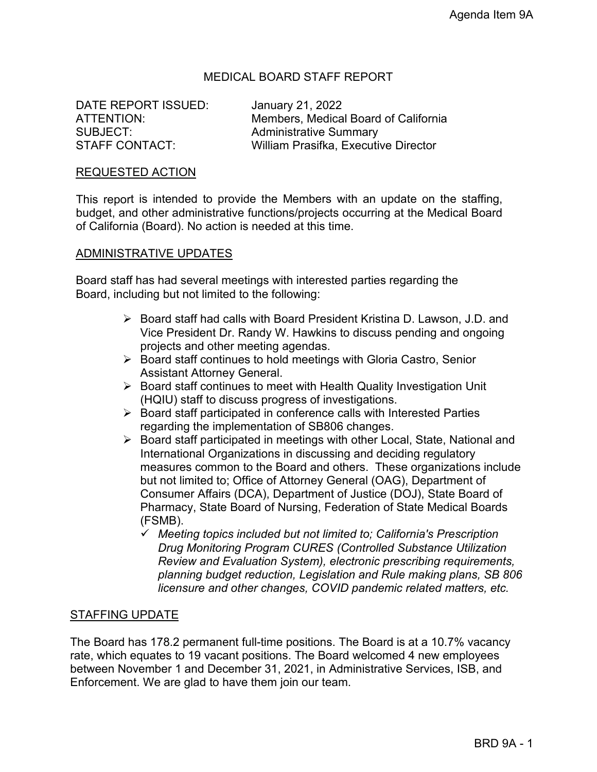### MEDICAL BOARD STAFF REPORT

DATE REPORT ISSUED: January 21, 2022 SUBJECT:<br>
STAFF CONTACT: 
STAFF CONTACT:<br>
William Prasifka, Executiv

ATTENTION: Members, Medical Board of California William Prasifka, Executive Director

#### REQUESTED ACTION

This report is intended to provide the Members with an update on the staffing, budget, and other administrative functions/projects occurring at the Medical Board of California (Board). No action is needed at this time.

#### ADMINISTRATIVE UPDATES

Board staff has had several meetings with interested parties regarding the Board, including but not limited to the following:

- Board staff had calls with Board President Kristina D. Lawson, J.D. and Vice President Dr. Randy W. Hawkins to discuss pending and ongoing projects and other meeting agendas.
- ▶ Board staff continues to hold meetings with Gloria Castro, Senior Assistant Attorney General.
- $\triangleright$  Board staff continues to meet with Health Quality Investigation Unit (HQIU) staff to discuss progress of investigations.
- $\triangleright$  Board staff participated in conference calls with Interested Parties regarding the implementation of SB806 changes.
- ▶ Board staff participated in meetings with other Local, State, National and International Organizations in discussing and deciding regulatory measures common to the Board and others. These organizations include but not limited to; Office of Attorney General (OAG), Department of Consumer Affairs (DCA), Department of Justice (DOJ), State Board of Pharmacy, State Board of Nursing, Federation of State Medical Boards (FSMB).
	- *Meeting topics included but not limited to; California's Prescription Drug Monitoring Program CURES (Controlled Substance Utilization Review and Evaluation System), electronic prescribing requirements, planning budget reduction, Legislation and Rule making plans, SB 806 licensure and other changes, COVID pandemic related matters, etc.*

#### STAFFING UPDATE

The Board has 178.2 permanent full-time positions. The Board is at a 10.7% vacancy rate, which equates to 19 vacant positions. The Board welcomed 4 new employees between November 1 and December 31, 2021, in Administrative Services, ISB, and Enforcement. We are glad to have them join our team.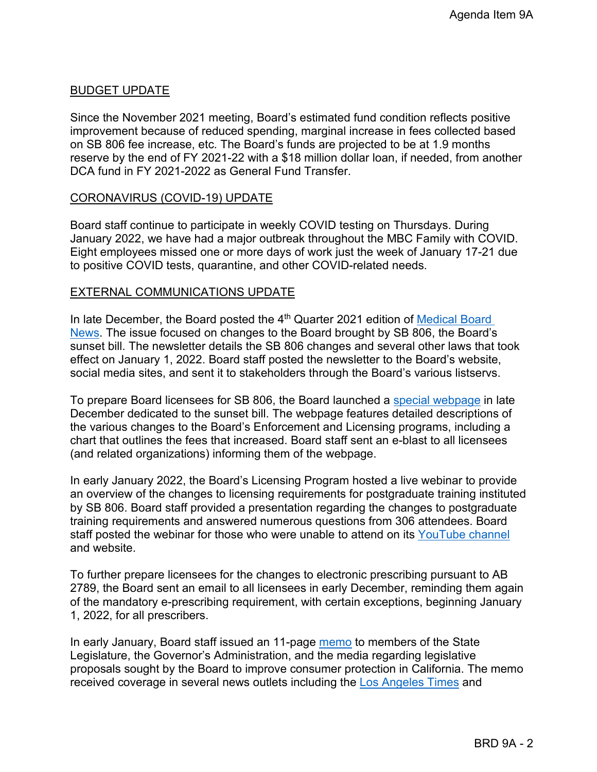## BUDGET UPDATE

Since the November 2021 meeting, Board's estimated fund condition reflects positive improvement because of reduced spending, marginal increase in fees collected based on SB 806 fee increase, etc. The Board's funds are projected to be at 1.9 months reserve by the end of FY 2021-22 with a \$18 million dollar loan, if needed, from another DCA fund in FY 2021-2022 as General Fund Transfer.

#### CORONAVIRUS (COVID-19) UPDATE

Board staff continue to participate in weekly COVID testing on Thursdays. During January 2022, we have had a major outbreak throughout the MBC Family with COVID. Eight employees missed one or more days of work just the week of January 17-21 due to positive COVID tests, quarantine, and other COVID-related needs.

#### EXTERNAL COMMUNICATIONS UPDATE

In late December, the Board posted the 4<sup>th</sup> Quarter 2021 edition of Medical Board [News.](https://www.mbc.ca.gov/News/Newsletter/2021-Vol159.aspx) The issue focused on changes to the Board brought by SB 806, the Board's sunset bill. The newsletter details the SB 806 changes and several other laws that took effect on January 1, 2022. Board staff posted the newsletter to the Board's website, social media sites, and sent it to stakeholders through the Board's various listservs.

To prepare Board licensees for SB 806, the Board launched a [special webpage](https://www.mbc.ca.gov/About/Laws/SB806.aspx) in late December dedicated to the sunset bill. The webpage features detailed descriptions of the various changes to the Board's Enforcement and Licensing programs, including a chart that outlines the fees that increased. Board staff sent an e-blast to all licensees (and related organizations) informing them of the webpage.

In early January 2022, the Board's Licensing Program hosted a live webinar to provide an overview of the changes to licensing requirements for postgraduate training instituted by SB 806. Board staff provided a presentation regarding the changes to postgraduate training requirements and answered numerous questions from 306 attendees. Board staff posted the webinar for those who were unable to attend on its [YouTube channel](https://www.youtube.com/watch?v=HIMk8wcInts) and website.

To further prepare licensees for the changes to electronic prescribing pursuant to AB 2789, the Board sent an email to all licensees in early December, reminding them again of the mandatory e-prescribing requirement, with certain exceptions, beginning January 1, 2022, for all prescribers.

In early January, Board staff issued an 11-page [memo](https://www.mbc.ca.gov/Download/Documents/MBCLegislativeRequests-20220105.pdf) to members of the State Legislature, the Governor's Administration, and the media regarding legislative proposals sought by the Board to improve consumer protection in California. The memo received coverage in several news outlets including the [Los Angeles Times](https://www.latimes.com/california/story/2022-01-07/state-medical-board-seeks-far-reaching-reforms-to-discipline-bad-doctors) and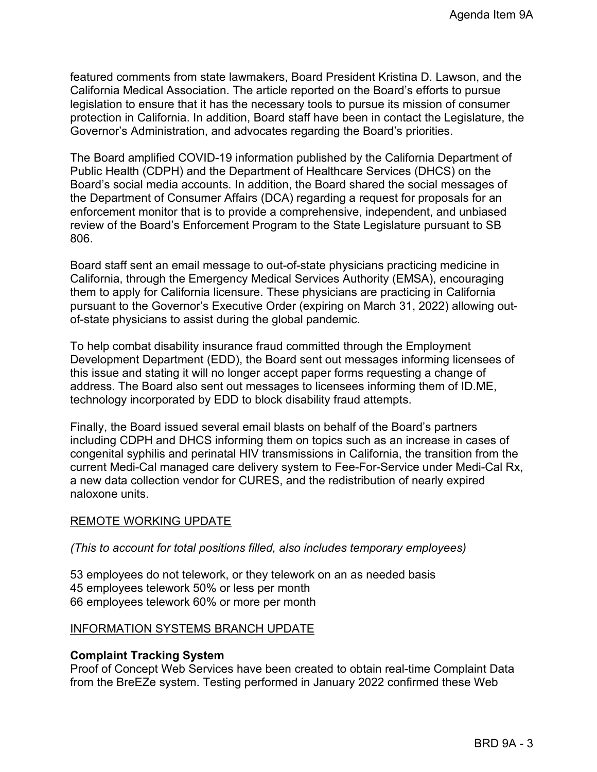featured comments from state lawmakers, Board President Kristina D. Lawson, and the California Medical Association. The article reported on the Board's efforts to pursue legislation to ensure that it has the necessary tools to pursue its mission of consumer protection in California. In addition, Board staff have been in contact the Legislature, the Governor's Administration, and advocates regarding the Board's priorities.

The Board amplified COVID-19 information published by the California Department of Public Health (CDPH) and the Department of Healthcare Services (DHCS) on the Board's social media accounts. In addition, the Board shared the social messages of the Department of Consumer Affairs (DCA) regarding a request for proposals for an enforcement monitor that is to provide a comprehensive, independent, and unbiased review of the Board's Enforcement Program to the State Legislature pursuant to SB 806.

Board staff sent an email message to out-of-state physicians practicing medicine in California, through the Emergency Medical Services Authority (EMSA), encouraging them to apply for California licensure. These physicians are practicing in California pursuant to the Governor's Executive Order (expiring on March 31, 2022) allowing outof-state physicians to assist during the global pandemic.

To help combat disability insurance fraud committed through the Employment Development Department (EDD), the Board sent out messages informing licensees of this issue and stating it will no longer accept paper forms requesting a change of address. The Board also sent out messages to licensees informing them of ID.ME, technology incorporated by EDD to block disability fraud attempts.

Finally, the Board issued several email blasts on behalf of the Board's partners including CDPH and DHCS informing them on topics such as an increase in cases of congenital syphilis and perinatal HIV transmissions in California, the transition from the current Medi-Cal managed care delivery system to Fee-For-Service under Medi-Cal Rx, a new data collection vendor for CURES, and the redistribution of nearly expired naloxone units.

### REMOTE WORKING UPDATE

*(This to account for total positions filled, also includes temporary employees)*

53 employees do not telework, or they telework on an as needed basis 45 employees telework 50% or less per month 66 employees telework 60% or more per month

### INFORMATION SYSTEMS BRANCH UPDATE

### **Complaint Tracking System**

Proof of Concept Web Services have been created to obtain real-time Complaint Data from the BreEZe system. Testing performed in January 2022 confirmed these Web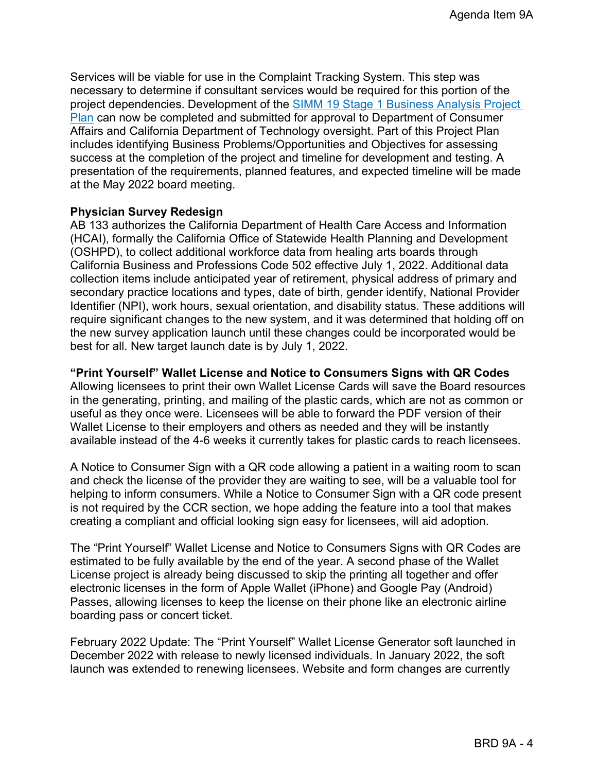Services will be viable for use in the Complaint Tracking System. This step was necessary to determine if consultant services would be required for this portion of the project dependencies. Development of the SIMM 19 Stage 1 Business Analysis Project Plan can now be completed and submitted for approval to Department of Consumer Affairs and California Department of Technology oversight. Part of this Project Plan includes identifying Business Problems/Opportunities and Objectives for assessing success at the completion of the project and timeline for development and testing. A presentation of the requirements, planned features, and expected timeline will be made at the May 2022 board meeting.

#### **Physician Survey Redesign**

AB 133 authorizes the California Department of Health Care Access and Information (HCAI), formally the California Office of Statewide Health Planning and Development (OSHPD), to collect additional workforce data from healing arts boards through California Business and Professions Code 502 effective July 1, 2022. Additional data collection items include anticipated year of retirement, physical address of primary and secondary practice locations and types, date of birth, gender identify, National Provider Identifier (NPI), work hours, sexual orientation, and disability status. These additions will require significant changes to the new system, and it was determined that holding off on the new survey application launch until these changes could be incorporated would be best for all. New target launch date is by July 1, 2022.

### **"Print Yourself" Wallet License and Notice to Consumers Signs with QR Codes**

Allowing licensees to print their own Wallet License Cards will save the Board resources in the generating, printing, and mailing of the plastic cards, which are not as common or useful as they once were. Licensees will be able to forward the PDF version of their Wallet License to their employers and others as needed and they will be instantly available instead of the 4-6 weeks it currently takes for plastic cards to reach licensees.

A Notice to Consumer Sign with a QR code allowing a patient in a waiting room to scan and check the license of the provider they are waiting to see, will be a valuable tool for helping to inform consumers. While a Notice to Consumer Sign with a QR code present is not required by the CCR section, we hope adding the feature into a tool that makes creating a compliant and official looking sign easy for licensees, will aid adoption.

The "Print Yourself" Wallet License and Notice to Consumers Signs with QR Codes are estimated to be fully available by the end of the year. A second phase of the Wallet License project is already being discussed to skip the printing all together and offer electronic licenses in the form of Apple Wallet (iPhone) and Google Pay (Android) Passes, allowing licenses to keep the license on their phone like an electronic airline boarding pass or concert ticket.

February 2022 Update: The "Print Yourself" Wallet License Generator soft launched in December 2022 with release to newly licensed individuals. In January 2022, the soft launch was extended to renewing licensees. Website and form changes are currently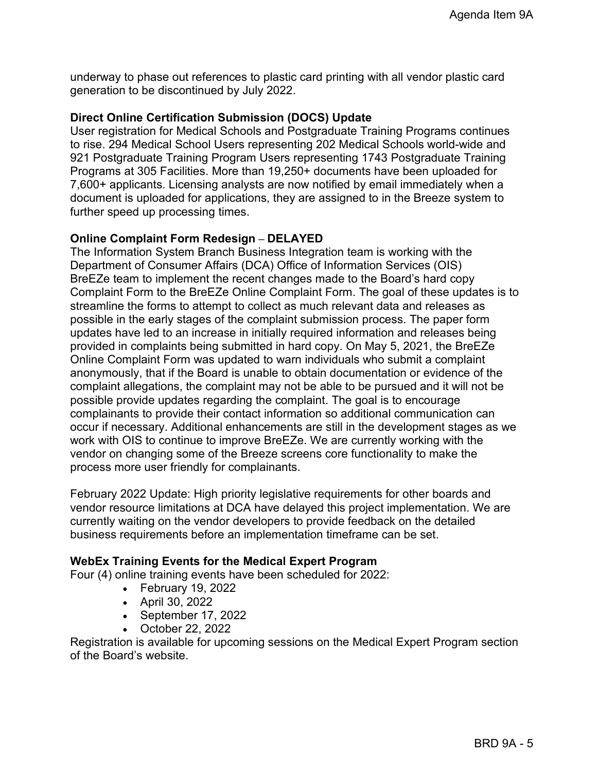underway to phase out references to plastic card printing with all vendor plastic card generation to be discontinued by July 2022.

### **Direct Online Certification Submission (DOCS) Update**

User registration for Medical Schools and Postgraduate Training Programs continues to rise. 294 Medical School Users representing 202 Medical Schools world-wide and 921 Postgraduate Training Program Users representing 1743 Postgraduate Training Programs at 305 Facilities. More than 19,250+ documents have been uploaded for 7,600+ applicants. Licensing analysts are now notified by email immediately when a document is uploaded for applications, they are assigned to in the Breeze system to further speed up processing times.

#### **Online Complaint Form Redesign – DELAYED**

The Information System Branch Business Integration team is working with the Department of Consumer Affairs (DCA) Office of Information Services (OIS) BreEZe team to implement the recent changes made to the Board's hard copy Complaint Form to the BreEZe Online Complaint Form. The goal of these updates is to streamline the forms to attempt to collect as much relevant data and releases as possible in the early stages of the complaint submission process. The paper form updates have led to an increase in initially required information and releases being provided in complaints being submitted in hard copy. On May 5, 2021, the BreEZe Online Complaint Form was updated to warn individuals who submit a complaint anonymously, that if the Board is unable to obtain documentation or evidence of the complaint allegations, the complaint may not be able to be pursued and it will not be possible provide updates regarding the complaint. The goal is to encourage complainants to provide their contact information so additional communication can occur if necessary. Additional enhancements are still in the development stages as we work with OIS to continue to improve BreEZe. We are currently working with the vendor on changing some of the Breeze screens core functionality to make the process more user friendly for complainants.

February 2022 Update: High priority legislative requirements for other boards and vendor resource limitations at DCA have delayed this project implementation. We are currently waiting on the vendor developers to provide feedback on the detailed business requirements before an implementation timeframe can be set.

#### **WebEx Training Events for the Medical Expert Program**

Four (4) online training events have been scheduled for 2022:

- February 19, 2022
- April 30, 2022
- September 17, 2022
- October 22, 2022

Registration is available for upcoming sessions on the Medical Expert Program section of the Board's website.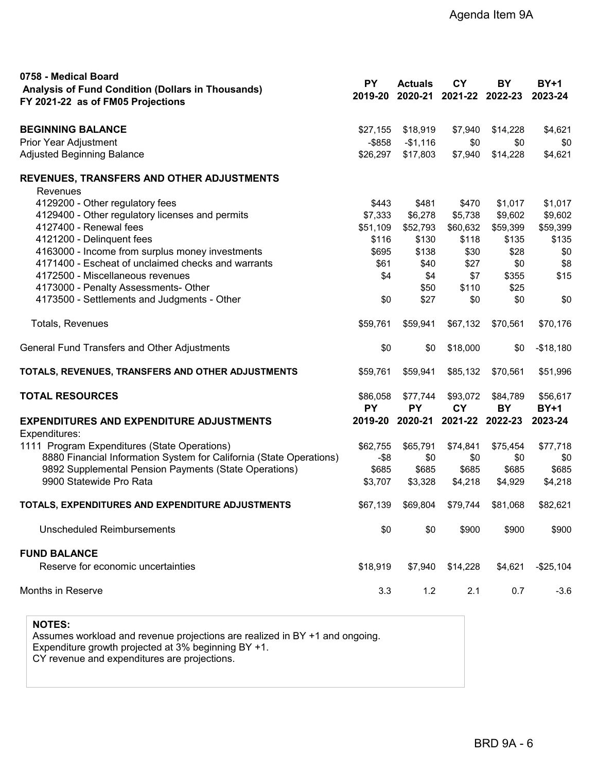| 0758 - Medical Board<br>Analysis of Fund Condition (Dollars in Thousands)<br>FY 2021-22 as of FM05 Projections | <b>PY</b>             | <b>Actuals</b><br>2019-20 2020-21 2021-22 2022-23 | <b>CY</b>             | BY                              | <b>BY+1</b><br>2023-24  |
|----------------------------------------------------------------------------------------------------------------|-----------------------|---------------------------------------------------|-----------------------|---------------------------------|-------------------------|
| <b>BEGINNING BALANCE</b>                                                                                       | \$27,155              | \$18,919                                          | \$7,940               | \$14,228                        | \$4,621                 |
| Prior Year Adjustment                                                                                          | $-$ \$858             | $-$1,116$                                         | \$0                   | \$0                             | \$0                     |
| Adjusted Beginning Balance                                                                                     | \$26,297              | \$17,803                                          | \$7,940               | \$14,228                        | \$4,621                 |
| REVENUES, TRANSFERS AND OTHER ADJUSTMENTS<br>Revenues                                                          |                       |                                                   |                       |                                 |                         |
| 4129200 - Other regulatory fees                                                                                | \$443                 | \$481                                             | \$470                 | \$1,017                         | \$1,017                 |
| 4129400 - Other regulatory licenses and permits                                                                | \$7,333               | \$6,278                                           | \$5,738               | \$9,602                         | \$9,602                 |
| 4127400 - Renewal fees                                                                                         | \$51,109              | \$52,793                                          | \$60,632              | \$59,399                        | \$59,399                |
| 4121200 - Delinquent fees                                                                                      | \$116                 | \$130                                             | \$118                 | \$135                           | \$135                   |
| 4163000 - Income from surplus money investments                                                                | \$695                 | \$138                                             | \$30                  | \$28                            | \$0                     |
| 4171400 - Escheat of unclaimed checks and warrants                                                             | \$61                  | \$40                                              | \$27                  | \$0                             | \$8                     |
| 4172500 - Miscellaneous revenues                                                                               | \$4                   | \$4                                               | \$7                   | \$355                           | \$15                    |
| 4173000 - Penalty Assessments- Other                                                                           |                       | \$50                                              | \$110                 | \$25                            |                         |
| 4173500 - Settlements and Judgments - Other                                                                    | \$0                   | \$27                                              | \$0                   | \$0                             | \$0                     |
| Totals, Revenues                                                                                               | \$59,761              | \$59,941                                          | \$67,132              | \$70,561                        | \$70,176                |
| General Fund Transfers and Other Adjustments                                                                   | \$0                   | \$0                                               | \$18,000              | \$0                             | $-$18,180$              |
| TOTALS, REVENUES, TRANSFERS AND OTHER ADJUSTMENTS                                                              | \$59,761              | \$59,941                                          | \$85,132              | \$70,561                        | \$51,996                |
| <b>TOTAL RESOURCES</b>                                                                                         | \$86,058<br><b>PY</b> | \$77,744<br><b>PY</b>                             | \$93,072<br><b>CY</b> | \$84,789<br>BY                  | \$56,617<br><b>BY+1</b> |
| <b>EXPENDITURES AND EXPENDITURE ADJUSTMENTS</b><br>Expenditures:                                               |                       |                                                   |                       | 2019-20 2020-21 2021-22 2022-23 | 2023-24                 |
| 1111 Program Expenditures (State Operations)                                                                   | \$62,755              | \$65,791                                          | \$74,841              | \$75,454                        | \$77,718                |
| 8880 Financial Information System for California (State Operations)                                            | $-$ \$8               | \$0                                               | \$0                   | \$0                             | \$0                     |
| 9892 Supplemental Pension Payments (State Operations)                                                          | \$685                 | \$685                                             | \$685                 | \$685                           | \$685                   |
| 9900 Statewide Pro Rata                                                                                        | \$3,707               | \$3,328                                           | \$4,218               | \$4,929                         | \$4,218                 |
| TOTALS, EXPENDITURES AND EXPENDITURE ADJUSTMENTS                                                               | \$67,139              | \$69,804                                          | \$79,744              | \$81,068                        | \$82,621                |
| Unscheduled Reimbursements                                                                                     | \$0                   | \$0                                               | \$900                 | \$900                           | \$900                   |
| <b>FUND BALANCE</b>                                                                                            |                       |                                                   |                       |                                 |                         |
| Reserve for economic uncertainties                                                                             | \$18,919              | \$7,940                                           | \$14,228              | \$4,621                         | $-$25,104$              |
| <b>Months in Reserve</b>                                                                                       | 3.3                   | 1.2                                               | 2.1                   | 0.7                             | $-3.6$                  |

**NOTES:**

Assumes workload and revenue projections are realized in BY +1 and ongoing. Expenditure growth projected at 3% beginning BY +1. CY revenue and expenditures are projections.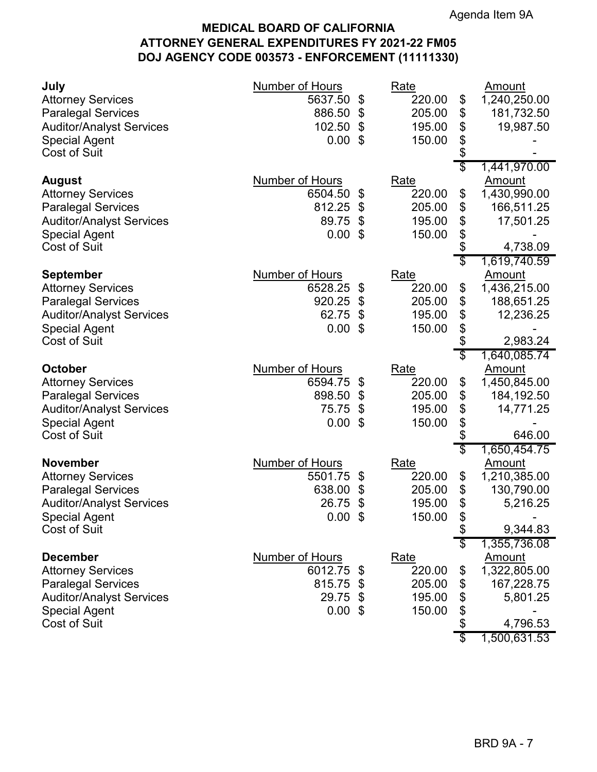# **MEDICAL BOARD OF CALIFORNIA ATTORNEY GENERAL EXPENDITURES FY 2021-22 FM05 DOJ AGENCY CODE 003573 - ENFORCEMENT (11111330)**

| July<br><b>Attorney Services</b><br><b>Paralegal Services</b><br><b>Auditor/Analyst Services</b><br><b>Special Agent</b><br><b>Cost of Suit</b>             | Number of Hours<br>5637.50<br>\$<br>886.50<br>\$<br>102.50<br>\$<br>\$<br>0.00      | Rate<br>220.00<br>205.00<br>195.00<br>150.00        | \$<br>\$<br>\$<br>\$<br>\$           | Amount<br>1,240,250.00<br>181,732.50<br>19,987.50                                                    |
|-------------------------------------------------------------------------------------------------------------------------------------------------------------|-------------------------------------------------------------------------------------|-----------------------------------------------------|--------------------------------------|------------------------------------------------------------------------------------------------------|
| August<br><b>Attorney Services</b><br><b>Paralegal Services</b><br><b>Auditor/Analyst Services</b><br><b>Special Agent</b><br><b>Cost of Suit</b>           | Number of Hours<br>6504.50<br>\$<br>812.25<br>\$<br>89.75<br>\$<br>\$<br>0.00       | Rate<br>220.00<br>205.00<br>195.00<br>150.00        | S<br>\$<br>\$<br>\$<br>\$<br>\$<br>S | 1,441,970.00<br>Amount<br>1,430,990.00<br>166,511.25<br>17,501.25<br>4,738.09                        |
| <b>September</b><br><b>Attorney Services</b><br><b>Paralegal Services</b><br><b>Auditor/Analyst Services</b><br><b>Special Agent</b><br><b>Cost of Suit</b> | Number of Hours<br>6528.25<br>\$<br>920.25<br>\$<br>62.75<br>\$<br>0.00<br>\$       | <u>Rate</u><br>220.00<br>205.00<br>195.00<br>150.00 | \$<br>\$<br>\$<br>\$<br>\$<br>\$     | 1,619,740.59<br><u>Amount</u><br>1,436,215.00<br>188,651.25<br>12,236.25<br>2,983.24<br>1,640,085.74 |
| October<br><b>Attorney Services</b><br><b>Paralegal Services</b><br><b>Auditor/Analyst Services</b><br><b>Special Agent</b><br><b>Cost of Suit</b>          | Number of Hours<br>6594.75<br>\$<br>898.50<br>\$<br>75.75<br>\$<br>0.00<br>\$       | Rate<br>220.00<br>205.00<br>195.00<br>150.00        | \$<br>\$<br>\$<br>\$<br>\$           | <u>Amount</u><br>1,450,845.00<br>184,192.50<br>14,771.25<br>646.00                                   |
| <b>November</b><br><b>Attorney Services</b><br><b>Paralegal Services</b><br><b>Auditor/Analyst Services</b><br>Special Agent<br><b>Cost of Suit</b>         | <b>Number of Hours</b><br>5501.75<br>\$<br>638.00<br>\$<br>26.75<br>\$<br>$0.00$ \$ | Rate<br>220.00<br>205.00<br>195.00<br>150.00        | \$<br>\$<br>\$<br>\$<br>P            | 1,650,454.75<br><b>Amount</b><br>1,210,385.00<br>130,790.00<br>5,216.25<br>9,344.83                  |
| <b>December</b><br><b>Attorney Services</b><br><b>Paralegal Services</b><br><b>Auditor/Analyst Services</b><br><b>Special Agent</b><br><b>Cost of Suit</b>  | Number of Hours<br>6012.75<br>\$<br>815.75 \$<br>29.75 \$<br>$0.00$ \$              | <u>Rate</u><br>220.00<br>205.00<br>195.00<br>150.00 | \$<br>\$<br>\$<br>\$<br>\$           | 1,355,736.08<br><b>Amount</b><br>1,322,805.00<br>167,228.75<br>5,801.25<br>4,796.53<br>1,500,631.53  |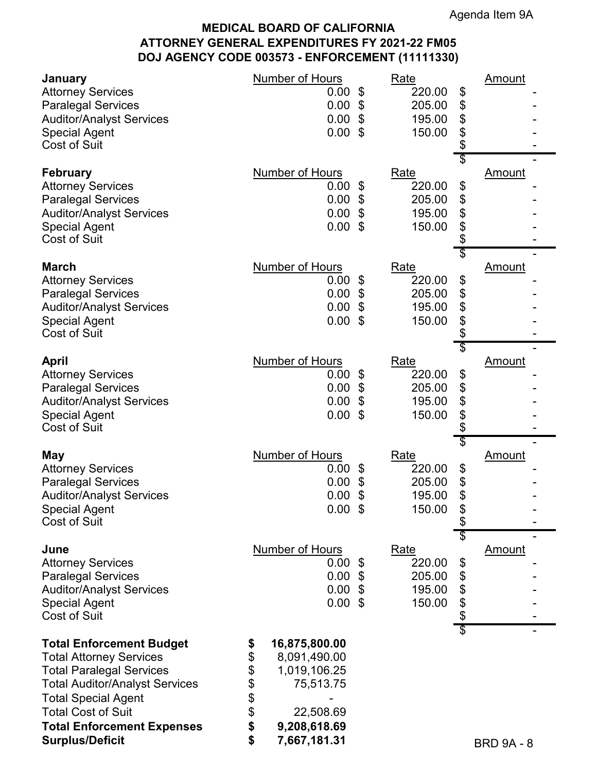# **MEDICAL BOARD OF CALIFORNIA ATTORNEY GENERAL EXPENDITURES FY 2021-22 FM05 DOJ AGENCY CODE 003573 - ENFORCEMENT (11111330)**

| January<br><b>Attorney Services</b><br><b>Paralegal Services</b><br><b>Auditor/Analyst Services</b><br><b>Special Agent</b><br><b>Cost of Suit</b>                                                                                                                      | <b>Number of Hours</b><br>0.00<br>\$<br>0.00<br>\$<br>$\boldsymbol{\mathsf{\$}}$<br>0.00<br>0.00<br>$\mathfrak{L}$                                      | <b>Rate</b><br>220.00<br>\$<br>\$<br>205.00<br>\$<br>195.00<br>\$<br>150.00<br>\$       | <u>Amount</u>     |
|-------------------------------------------------------------------------------------------------------------------------------------------------------------------------------------------------------------------------------------------------------------------------|---------------------------------------------------------------------------------------------------------------------------------------------------------|-----------------------------------------------------------------------------------------|-------------------|
| <b>February</b><br><b>Attorney Services</b><br><b>Paralegal Services</b><br><b>Auditor/Analyst Services</b><br><b>Special Agent</b><br><b>Cost of Suit</b>                                                                                                              | <b>Number of Hours</b><br>0.00<br>\$<br>0.00<br>$\boldsymbol{\mathsf{S}}$<br>\$<br>0.00<br>0.00<br>-\$                                                  | \$<br>Rate<br>220.00<br>\$<br>\$<br>205.00<br>\$<br>195.00<br>\$<br>150.00<br>\$        | <b>Amount</b>     |
| <b>March</b><br><b>Attorney Services</b><br><b>Paralegal Services</b><br><b>Auditor/Analyst Services</b><br><b>Special Agent</b><br><b>Cost of Suit</b>                                                                                                                 | <b>Number of Hours</b><br>\$<br>0.00<br>0.00<br>\$<br>\$<br>0.00<br>0.00<br>\$                                                                          | \$<br>Rate<br>220.00<br>\$<br>\$<br>205.00<br>\$<br>195.00<br>\$<br>150.00<br>\$<br>\$  | <b>Amount</b>     |
| <b>April</b><br><b>Attorney Services</b><br><b>Paralegal Services</b><br><b>Auditor/Analyst Services</b><br><b>Special Agent</b><br><b>Cost of Suit</b>                                                                                                                 | Number of Hours<br>$0.00$ \$<br>$\boldsymbol{\mathsf{\$}}$<br>0.00<br>\$<br>0.00<br>0.00<br>$\boldsymbol{\mathsf{S}}$                                   | Rate<br>220.00<br>\$<br>\$<br>205.00<br>\$<br>195.00<br>\$<br>150.00<br>\$<br>\$        | Amount            |
| <b>May</b><br><b>Attorney Services</b><br><b>Paralegal Services</b><br><b>Auditor/Analyst Services</b><br><b>Special Agent</b><br><b>Cost of Suit</b>                                                                                                                   | <b>Number of Hours</b><br>0.00<br>\$<br>$\boldsymbol{\theta}$<br>0.00<br>0.00<br>\$<br>$0.00$ \$                                                        | Rate<br>220.00<br>\$<br>\$<br>205.00<br>\$<br>195.00<br>150.00<br>\$                    | <b>Amount</b>     |
| June<br><b>Attorney Services</b><br><b>Paralegal Services</b><br><b>Auditor/Analyst Services</b><br><b>Special Agent</b><br><b>Cost of Suit</b>                                                                                                                         | <b>Number of Hours</b><br>$0.00$ \$<br>$0.00$ \$<br>$0.00$ \$<br>0.00<br>-\$                                                                            | \$<br><b>Rate</b><br>220.00<br>\$<br>\$<br>205.00<br>\$<br>195.00<br>\$<br>150.00<br>\$ | <b>Amount</b>     |
| <b>Total Enforcement Budget</b><br><b>Total Attorney Services</b><br><b>Total Paralegal Services</b><br><b>Total Auditor/Analyst Services</b><br><b>Total Special Agent</b><br><b>Total Cost of Suit</b><br><b>Total Enforcement Expenses</b><br><b>Surplus/Deficit</b> | 16,875,800.00<br>\$<br>\$<br>8,091,490.00<br>\$<br>1,019,106.25<br>\$<br>75,513.75<br>\$<br>\$<br>22,508.69<br>\$<br>9,208,618.69<br>\$<br>7,667,181.31 | \$                                                                                      | <b>BRD 9A - 8</b> |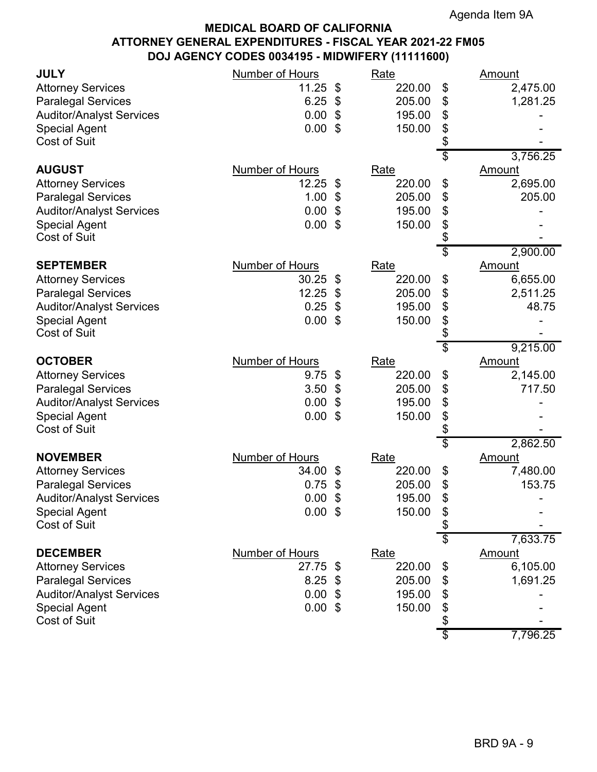| <b>JULY</b>                                 | <b>Number of Hours</b> | Rate         |                 | <u>Amount</u> |
|---------------------------------------------|------------------------|--------------|-----------------|---------------|
| <b>Attorney Services</b>                    | 11.25                  | \$<br>220.00 | \$              | 2,475.00      |
| <b>Paralegal Services</b>                   | 6.25                   | \$<br>205.00 | \$              | 1,281.25      |
| <b>Auditor/Analyst Services</b>             | 0.00                   | \$<br>195.00 | \$              |               |
| <b>Special Agent</b>                        | 0.00                   | \$<br>150.00 | \$              |               |
| Cost of Suit                                |                        |              | \$              |               |
|                                             |                        |              | \$              | 3,756.25      |
| <b>AUGUST</b>                               | Number of Hours        | Rate         |                 | Amount        |
| <b>Attorney Services</b>                    | 12.25                  | \$<br>220.00 | \$              | 2,695.00      |
| <b>Paralegal Services</b>                   | 1.00                   | \$<br>205.00 | \$              | 205.00        |
| <b>Auditor/Analyst Services</b>             | 0.00                   | \$<br>195.00 | \$              |               |
| <b>Special Agent</b>                        | 0.00                   | \$<br>150.00 | \$              |               |
| <b>Cost of Suit</b>                         |                        |              | \$              |               |
|                                             |                        |              | \$              | 2,900.00      |
| <b>SEPTEMBER</b>                            | <b>Number of Hours</b> | Rate         |                 | <b>Amount</b> |
| <b>Attorney Services</b>                    | 30.25                  | \$<br>220.00 | \$              | 6,655.00      |
| <b>Paralegal Services</b>                   | 12.25                  | \$<br>205.00 | \$              | 2,511.25      |
| <b>Auditor/Analyst Services</b>             | 0.25                   | \$<br>195.00 | \$              | 48.75         |
| <b>Special Agent</b><br><b>Cost of Suit</b> | 0.00                   | \$<br>150.00 | \$<br>\$        |               |
|                                             |                        |              | $\overline{\$}$ | 9,215.00      |
| <b>OCTOBER</b>                              | <b>Number of Hours</b> | <b>Rate</b>  |                 | <b>Amount</b> |
| <b>Attorney Services</b>                    | 9.75                   | \$<br>220.00 | \$              | 2,145.00      |
| <b>Paralegal Services</b>                   | 3.50                   | \$<br>205.00 | \$              | 717.50        |
| <b>Auditor/Analyst Services</b>             | 0.00                   | \$<br>195.00 | \$              |               |
| <b>Special Agent</b>                        | 0.00                   | \$<br>150.00 | \$              |               |
| <b>Cost of Suit</b>                         |                        |              | \$              |               |
|                                             |                        |              | \$              | 2,862.50      |
| <b>NOVEMBER</b>                             | <b>Number of Hours</b> | <b>Rate</b>  |                 | Amount        |
| <b>Attorney Services</b>                    | 34.00                  | \$<br>220.00 | \$              | 7,480.00      |
| <b>Paralegal Services</b>                   | 0.75                   | \$<br>205.00 | \$              | 153.75        |
| <b>Auditor/Analyst Services</b>             | 0.00                   | \$<br>195.00 | \$              |               |
| <b>Special Agent</b>                        | $0.00$ \$              | 150.00       | \$              |               |
| Cost of Suit                                |                        |              | \$              |               |
|                                             |                        |              | \$              | 7,633.75      |
| <b>DECEMBER</b>                             | <b>Number of Hours</b> | Rate         |                 | <b>Amount</b> |
| <b>Attorney Services</b>                    | 27.75                  | \$<br>220.00 | \$              | 6,105.00      |
| <b>Paralegal Services</b>                   | 8.25                   | \$<br>205.00 | \$              | 1,691.25      |
| <b>Auditor/Analyst Services</b>             | 0.00                   | \$<br>195.00 | \$              |               |
| <b>Special Agent</b>                        | $0.00$ \$              | 150.00       | \$              |               |
| Cost of Suit                                |                        |              | \$              |               |
|                                             |                        |              | \$              | 7,796.25      |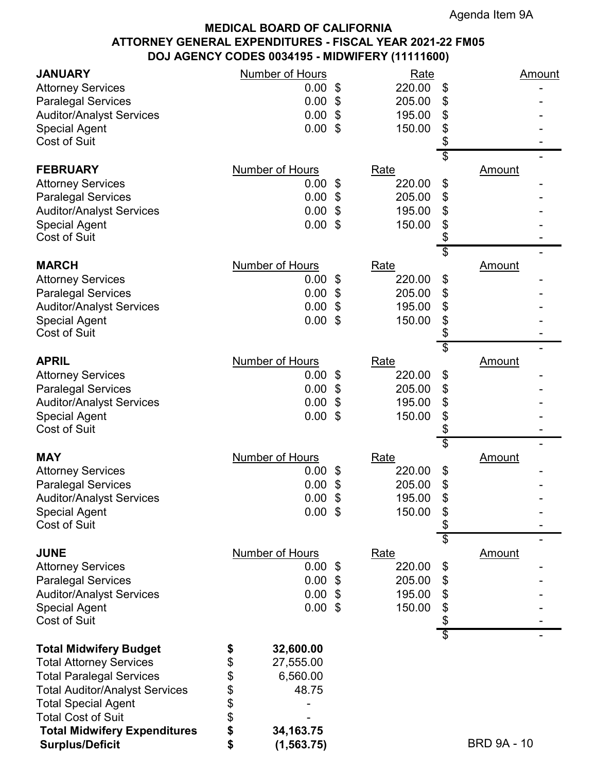| <b>JANUARY</b>                              | <b>Number of Hours</b> |                            | Rate               | <u>Amount</u>      |
|---------------------------------------------|------------------------|----------------------------|--------------------|--------------------|
| <b>Attorney Services</b>                    | $0.00 \text{ }$ \$     |                            | 220.00<br>\$       |                    |
| <b>Paralegal Services</b>                   | 0.00                   | \$                         | 205.00<br>\$       |                    |
| <b>Auditor/Analyst Services</b>             | $0.00$ \$              |                            | \$<br>195.00       |                    |
| <b>Special Agent</b>                        | 0.00                   | \$                         | \$<br>150.00       |                    |
| <b>Cost of Suit</b>                         |                        |                            | \$                 |                    |
|                                             |                        |                            | \$                 |                    |
| <b>FEBRUARY</b>                             | Number of Hours        | Rate                       |                    | <b>Amount</b>      |
| <b>Attorney Services</b>                    | 0.00                   | \$                         | 220.00<br>\$       |                    |
| <b>Paralegal Services</b>                   | $0.00$ \$              |                            | 205.00<br>\$       |                    |
| <b>Auditor/Analyst Services</b>             | 0.00                   | \$                         | \$<br>195.00       |                    |
| <b>Special Agent</b><br><b>Cost of Suit</b> | 0.00                   | \$                         | 150.00<br>\$<br>\$ |                    |
|                                             |                        |                            | \$                 |                    |
| <b>MARCH</b>                                | <b>Number of Hours</b> | Rate                       |                    | <b>Amount</b>      |
| <b>Attorney Services</b>                    | 0.00                   | \$                         | 220.00<br>\$       |                    |
| <b>Paralegal Services</b>                   | 0.00                   | \$                         | \$<br>205.00       |                    |
| <b>Auditor/Analyst Services</b>             | 0.00                   | \$                         | \$<br>195.00       |                    |
| <b>Special Agent</b><br><b>Cost of Suit</b> | 0.00                   | \$                         | \$<br>150.00<br>\$ |                    |
|                                             |                        |                            | \$                 |                    |
| <b>APRIL</b>                                | <b>Number of Hours</b> | <b>Rate</b>                |                    | Amount             |
| <b>Attorney Services</b>                    | $0.00$ \$              |                            | 220.00<br>\$       |                    |
| <b>Paralegal Services</b>                   | 0.00                   | \$                         | \$<br>205.00       |                    |
| <b>Auditor/Analyst Services</b>             | 0.00                   | \$                         | \$<br>195.00       |                    |
| <b>Special Agent</b>                        | 0.00                   | \$                         | \$<br>150.00       |                    |
| <b>Cost of Suit</b>                         |                        |                            | \$                 |                    |
| <b>MAY</b>                                  | Number of Hours        | Rate                       | \$                 | <b>Amount</b>      |
| <b>Attorney Services</b>                    | $0.00 \text{ }$ \$     |                            | \$<br>220.00       |                    |
| <b>Paralegal Services</b>                   | 0.00                   | \$                         | 205.00<br>\$       |                    |
| <b>Auditor/Analyst Services</b>             | 0.00                   | $\boldsymbol{\mathsf{\$}}$ | \$<br>195.00       |                    |
| <b>Special Agent</b>                        | $0.00$ \$              |                            | 150.00<br>\$       |                    |
| <b>Cost of Suit</b>                         |                        |                            | \$                 |                    |
| <b>JUNE</b>                                 | <b>Number of Hours</b> |                            | \$                 |                    |
| <b>Attorney Services</b>                    | $0.00 \text{ }$ \$     | <b>Rate</b>                | 220.00             | <b>Amount</b>      |
| <b>Paralegal Services</b>                   | 0.00                   | -\$                        | \$<br>205.00<br>\$ |                    |
| <b>Auditor/Analyst Services</b>             | $0.00$ \$              |                            | \$<br>195.00       |                    |
| <b>Special Agent</b>                        | 0.00                   | \$                         | \$<br>150.00       |                    |
| Cost of Suit                                |                        |                            | \$                 |                    |
| <b>Total Midwifery Budget</b>               | 32,600.00              |                            | $\overline{\$}$    |                    |
| <b>Total Attorney Services</b>              | \$<br>\$<br>27,555.00  |                            |                    |                    |
| <b>Total Paralegal Services</b>             | 6,560.00               |                            |                    |                    |
| <b>Total Auditor/Analyst Services</b>       | \$<br>\$<br>48.75      |                            |                    |                    |
| <b>Total Special Agent</b>                  |                        |                            |                    |                    |
| <b>Total Cost of Suit</b>                   | \$<br>\$               |                            |                    |                    |
| <b>Total Midwifery Expenditures</b>         | \$<br>34, 163. 75      |                            |                    |                    |
| <b>Surplus/Deficit</b>                      | \$<br>(1, 563.75)      |                            |                    | <b>BRD 9A - 10</b> |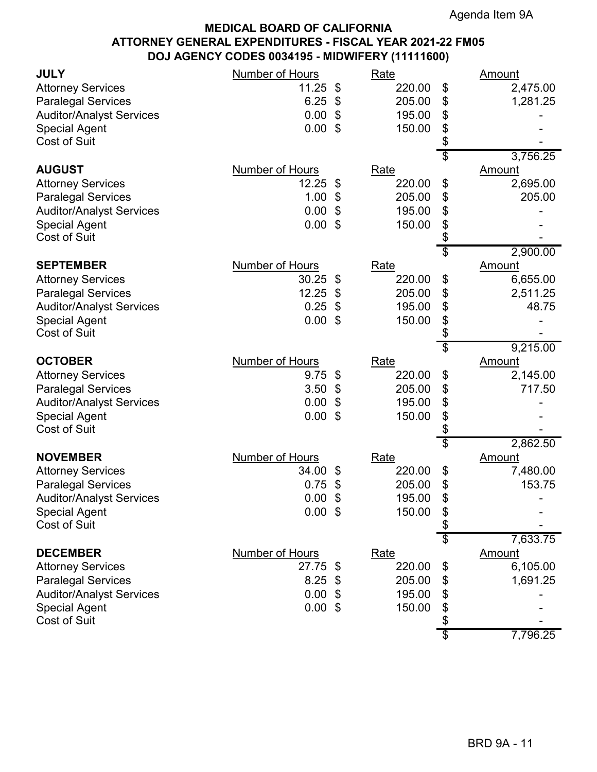| <b>JULY</b><br><b>Attorney Services</b><br><b>Paralegal Services</b><br><b>Auditor/Analyst Services</b><br><b>Special Agent</b><br>Cost of Suit             | <b>Number of Hours</b><br>11.25<br>6.25<br>0.00<br>0.00      | \$<br>\$<br>\$<br>\$ | Rate<br>220.00<br>205.00<br>195.00<br>150.00        | \$<br>\$<br>\$<br>\$<br>\$             | <u>Amount</u><br>2,475.00<br>1,281.25                         |
|-------------------------------------------------------------------------------------------------------------------------------------------------------------|--------------------------------------------------------------|----------------------|-----------------------------------------------------|----------------------------------------|---------------------------------------------------------------|
| <b>AUGUST</b><br><b>Attorney Services</b><br><b>Paralegal Services</b><br><b>Auditor/Analyst Services</b><br><b>Special Agent</b><br><b>Cost of Suit</b>    | Number of Hours<br>12.25<br>1.00<br>0.00<br>0.00             | \$<br>\$<br>\$<br>\$ | <b>Rate</b><br>220.00<br>205.00<br>195.00<br>150.00 | \$<br>\$<br>\$<br>\$<br>\$<br>\$       | 3,756.25<br>Amount<br>2,695.00<br>205.00                      |
| <b>SEPTEMBER</b><br><b>Attorney Services</b><br><b>Paralegal Services</b><br><b>Auditor/Analyst Services</b><br><b>Special Agent</b><br><b>Cost of Suit</b> | <b>Number of Hours</b><br>30.25<br>12.25<br>0.25<br>0.00     | \$<br>\$<br>\$<br>\$ | Rate<br>220.00<br>205.00<br>195.00<br>150.00        | \$<br>\$<br>\$<br>\$<br>\$<br>\$       | 2,900.00<br><u>Amount</u><br>6,655.00<br>2,511.25<br>48.75    |
| <b>OCTOBER</b><br><b>Attorney Services</b><br><b>Paralegal Services</b><br><b>Auditor/Analyst Services</b><br><b>Special Agent</b><br><b>Cost of Suit</b>   | <b>Number of Hours</b><br>9.75<br>3.50<br>0.00<br>0.00       | \$<br>\$<br>\$<br>\$ | <b>Rate</b><br>220.00<br>205.00<br>195.00<br>150.00 | \$<br>\$<br>\$<br>\$<br>\$<br>\$       | 9,215.00<br><b>Amount</b><br>2,145.00<br>717.50               |
| <b>NOVEMBER</b><br><b>Attorney Services</b><br><b>Paralegal Services</b><br><b>Auditor/Analyst Services</b><br><b>Special Agent</b><br>Cost of Suit         | <b>Number of Hours</b><br>34.00<br>0.75<br>0.00<br>$0.00$ \$ | \$<br>\$<br>\$       | <b>Rate</b><br>220.00<br>205.00<br>195.00<br>150.00 | \$<br>\$<br>\$<br>\$<br>\$<br>\$       | 2,862.50<br><b>Amount</b><br>7,480.00<br>153.75               |
| <b>DECEMBER</b><br><b>Attorney Services</b><br><b>Paralegal Services</b><br><b>Auditor/Analyst Services</b><br><b>Special Agent</b><br><b>Cost of Suit</b>  | <b>Number of Hours</b><br>27.75<br>8.25<br>0.00<br>0.00      | \$<br>\$<br>\$<br>\$ | Rate<br>220.00<br>205.00<br>195.00<br>150.00        | \$<br>\$<br>\$<br>\$<br>\$<br>\$<br>\$ | 7,633.75<br><b>Amount</b><br>6,105.00<br>1,691.25<br>7,796.25 |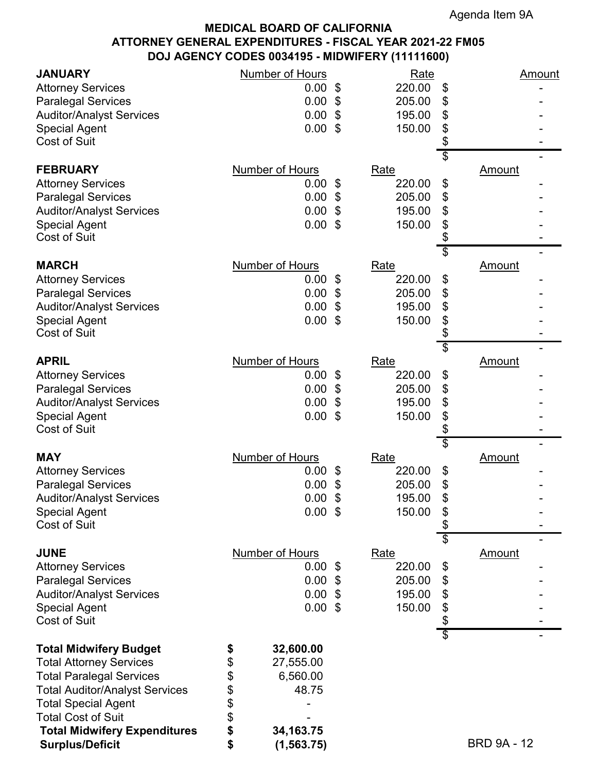| <b>JANUARY</b>                        | <b>Number of Hours</b> | Rate                                 | <u>Amount</u>       |
|---------------------------------------|------------------------|--------------------------------------|---------------------|
| <b>Attorney Services</b>              | $0.00 \text{ }$ \$     | 220.00                               | \$                  |
| <b>Paralegal Services</b>             | 0.00                   | 205.00<br>\$                         | \$                  |
| <b>Auditor/Analyst Services</b>       | $0.00$ \$              | 195.00                               | \$                  |
| <b>Special Agent</b>                  | 0.00                   | \$<br>150.00                         | \$                  |
| <b>Cost of Suit</b>                   |                        |                                      | \$                  |
|                                       |                        |                                      | \$                  |
| <b>FEBRUARY</b>                       | Number of Hours        | Rate                                 | <b>Amount</b>       |
| <b>Attorney Services</b>              | 0.00                   | 220.00<br>\$                         | \$                  |
| <b>Paralegal Services</b>             | $0.00$ \$              | 205.00                               | \$                  |
| <b>Auditor/Analyst Services</b>       | 0.00                   | \$<br>195.00                         | \$                  |
| <b>Special Agent</b>                  | 0.00                   | 150.00<br>\$                         | \$                  |
| <b>Cost of Suit</b>                   |                        |                                      | \$                  |
| <b>MARCH</b>                          | <b>Number of Hours</b> | Rate                                 | \$<br><b>Amount</b> |
| <b>Attorney Services</b>              | 0.00                   | 220.00<br>\$                         | \$                  |
| <b>Paralegal Services</b>             | 0.00                   | 205.00<br>\$                         | \$                  |
| <b>Auditor/Analyst Services</b>       | 0.00                   | \$<br>195.00                         | \$                  |
| <b>Special Agent</b>                  | 0.00                   | \$<br>150.00                         | \$                  |
| <b>Cost of Suit</b>                   |                        |                                      | \$                  |
|                                       |                        |                                      | \$                  |
| <b>APRIL</b>                          | <b>Number of Hours</b> | <b>Rate</b>                          | Amount              |
| <b>Attorney Services</b>              | $0.00$ \$              | 220.00                               | \$                  |
| <b>Paralegal Services</b>             | 0.00                   | \$<br>205.00                         | \$                  |
| <b>Auditor/Analyst Services</b>       | 0.00                   | \$<br>195.00                         | \$                  |
| <b>Special Agent</b>                  | 0.00                   | \$<br>150.00                         | \$                  |
| <b>Cost of Suit</b>                   |                        |                                      | \$                  |
| <b>MAY</b>                            | Number of Hours        | Rate                                 | \$                  |
| <b>Attorney Services</b>              | $0.00 \text{ }$ \$     | 220.00                               | <b>Amount</b><br>\$ |
| <b>Paralegal Services</b>             | 0.00                   | 205.00<br>\$                         | \$                  |
| <b>Auditor/Analyst Services</b>       | 0.00                   | $\boldsymbol{\mathsf{\$}}$<br>195.00 | \$                  |
| <b>Special Agent</b>                  | $0.00$ \$              | 150.00                               | \$                  |
| <b>Cost of Suit</b>                   |                        |                                      | \$                  |
|                                       |                        |                                      | \$                  |
| <b>JUNE</b>                           | <b>Number of Hours</b> | <b>Rate</b>                          | <b>Amount</b>       |
| <b>Attorney Services</b>              | $0.00 \text{ }$ \$     | 220.00                               | \$                  |
| <b>Paralegal Services</b>             | $0.00$ \$              | 205.00                               | \$                  |
| <b>Auditor/Analyst Services</b>       | $0.00$ \$              | 195.00                               | \$                  |
| <b>Special Agent</b>                  | 0.00                   | 150.00<br>\$                         | \$                  |
| Cost of Suit                          |                        |                                      | \$                  |
| <b>Total Midwifery Budget</b>         | 32,600.00<br>\$        |                                      | $\overline{\$}$     |
| <b>Total Attorney Services</b>        | \$<br>27,555.00        |                                      |                     |
| <b>Total Paralegal Services</b>       | 6,560.00               |                                      |                     |
| <b>Total Auditor/Analyst Services</b> | \$<br>\$<br>48.75      |                                      |                     |
| <b>Total Special Agent</b>            |                        |                                      |                     |
| <b>Total Cost of Suit</b>             | \$<br>\$               |                                      |                     |
| <b>Total Midwifery Expenditures</b>   | \$<br>34, 163. 75      |                                      |                     |
| <b>Surplus/Deficit</b>                | \$<br>(1, 563.75)      |                                      | <b>BRD 9A - 12</b>  |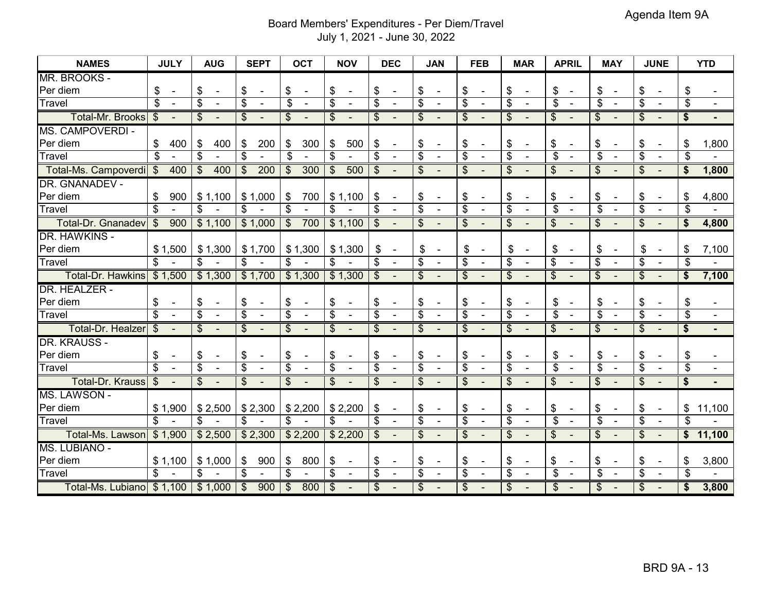### Board Members' Expenditures - Per Diem/Travel July 1, 2021 - June 30, 2022

| <b>NAMES</b>                            | <b>JULY</b>                    | <b>AUG</b><br><b>SEPT</b>                                                               | <b>OCT</b>                                 | <b>NOV</b>                                 | <b>DEC</b>                                           | <b>JAN</b>                                              | <b>FEB</b>                                | <b>MAR</b>                                 | <b>APRIL</b>                               | <b>MAY</b>                                 | <b>JUNE</b>                                          | <b>YTD</b>                         |
|-----------------------------------------|--------------------------------|-----------------------------------------------------------------------------------------|--------------------------------------------|--------------------------------------------|------------------------------------------------------|---------------------------------------------------------|-------------------------------------------|--------------------------------------------|--------------------------------------------|--------------------------------------------|------------------------------------------------------|------------------------------------|
| MR. BROOKS -                            |                                |                                                                                         |                                            |                                            |                                                      |                                                         |                                           |                                            |                                            |                                            |                                                      |                                    |
| Per diem                                | \$<br>$\overline{\phantom{a}}$ | \$<br>\$<br>$\overline{\phantom{a}}$<br>$\overline{\phantom{a}}$                        | \$<br>$\blacksquare$                       | \$<br>$\overline{\phantom{a}}$             | \$<br>$\overline{\phantom{a}}$                       | \$<br>$\blacksquare$                                    | \$                                        | \$<br>$\overline{\phantom{a}}$             | \$<br>$\overline{\phantom{a}}$             | \$<br>$\blacksquare$                       | \$<br>$\overline{\phantom{a}}$                       | \$                                 |
| Travel                                  | $\overline{\mathcal{S}}$       | $\overline{\$}$<br>$\overline{\mathcal{S}}$<br>$\mathbf{r}$<br>$\overline{\phantom{a}}$ | $\overline{\mathcal{S}}$<br>$\blacksquare$ | $\overline{\$}$<br>$\overline{a}$          | $\overline{\$}$<br>$\sim$                            | $\overline{\mathcal{S}}$<br>$\blacksquare$              | $\overline{\$}$<br>$\overline{a}$         | $\overline{\$}$<br>$\overline{a}$          | $\overline{\$}$<br>$\blacksquare$          | $\overline{\$}$<br>$\overline{a}$          | $\overline{\mathcal{S}}$<br>$\overline{\phantom{a}}$ | $\overline{\mathcal{S}}$<br>$\sim$ |
| <b>Total-Mr. Brooks</b>                 | $\mathfrak{S}$                 | $\overline{\mathcal{E}}$<br>$\overline{\mathcal{E}}$                                    | $\overline{\mathcal{S}}$                   | \$                                         | $\overline{\mathcal{S}}$                             | $\mathfrak{S}$                                          | \$                                        | $\overline{\mathcal{S}}$                   | $\overline{\mathcal{S}}$                   | \$                                         | \$                                                   | $\overline{\mathbf{s}}$            |
| <b>MS. CAMPOVERDI -</b>                 |                                |                                                                                         |                                            |                                            |                                                      |                                                         |                                           |                                            |                                            |                                            |                                                      |                                    |
| Per diem                                | 400<br>\$                      | \$<br>400<br>\$                                                                         | 200<br>300<br>\$                           | 500<br>\$                                  | \$<br>$\overline{\phantom{a}}$                       | \$<br>$\blacksquare$                                    | \$<br>$\overline{\phantom{a}}$            | \$<br>$\overline{\phantom{a}}$             | \$<br>$\blacksquare$                       | \$<br>$\overline{\phantom{a}}$             | \$<br>$\blacksquare$                                 | 1,800<br>\$                        |
| Travel                                  | $\overline{\mathbb{S}}$        | $\overline{\mathbb{S}}$<br>$\overline{\boldsymbol{\theta}}$                             | $\overline{\mathcal{S}}$                   | $\overline{\mathcal{S}}$                   | $\overline{\$}$<br>$\blacksquare$                    | $\overline{\mathcal{S}}$<br>$\overline{\phantom{a}}$    | $\overline{\mathcal{S}}$                  | $\overline{\$}$<br>$\blacksquare$          | $\overline{\mathcal{S}}$<br>$\blacksquare$ | $\overline{\mathcal{S}}$<br>$\blacksquare$ | $\overline{\mathcal{S}}$                             | $\overline{\mathcal{S}}$           |
| Total-Ms. Campoverdi                    | $\overline{\mathbf{S}}$<br>400 | $\frac{1}{2}$<br>400<br>$\boldsymbol{\mathsf{S}}$                                       | 200<br>300<br>$\$\$                        | \$<br>500                                  | \$                                                   | $\mathcal{S}$                                           | \$                                        | $\overline{\mathcal{S}}$                   | \$                                         | \$                                         | \$                                                   | \$<br>1,800                        |
| DR. GNANADEV -                          |                                |                                                                                         |                                            |                                            |                                                      |                                                         |                                           |                                            |                                            |                                            |                                                      |                                    |
| Per diem                                | 900<br>\$                      | \$1,100<br>\$1,000                                                                      | 700<br>\$                                  | \$1,100                                    | \$<br>$\overline{\phantom{a}}$                       | \$<br>$\blacksquare$                                    | \$                                        | \$<br>$\overline{\phantom{a}}$             | \$<br>$\overline{\phantom{a}}$             | \$                                         | \$<br>$\overline{\phantom{a}}$                       | 4,800<br>\$                        |
| Travel                                  | $\overline{\mathcal{S}}$       | $\overline{\mathcal{S}}$<br>$\overline{\mathcal{S}}$                                    | $\overline{\$}$                            | $\overline{\mathcal{S}}$                   | $\overline{\mathcal{S}}$<br>$\sim$                   | $\overline{\mathcal{S}}$<br>$\blacksquare$              | $\overline{\$}$<br>$\sim$                 | $\overline{\$}$<br>$\sim$                  | $\overline{\mathcal{S}}$<br>$\mathbf{r}$   | $\overline{\$}$<br>$\sim$                  | $\overline{\mathcal{S}}$<br>$\blacksquare$           | $\mathfrak{L}$                     |
| <b>Total-Dr. Gnanadev</b>               | 900<br>$\frac{1}{2}$           | \$1,100<br>\$1,000                                                                      | $\overline{\mathcal{S}}$<br>700            | \$1,100                                    | $\overline{\mathcal{S}}$                             | $\overline{\mathcal{S}}$                                | $\overline{\mathcal{S}}$                  | $\overline{\mathcal{S}}$                   | $\overline{\mathcal{S}}$                   | $\overline{\mathcal{S}}$                   | $\overline{\mathcal{S}}$                             | \$<br>4,800                        |
| <b>DR. HAWKINS -</b>                    |                                |                                                                                         |                                            |                                            |                                                      |                                                         |                                           |                                            |                                            |                                            |                                                      |                                    |
| Per diem                                | \$1,500                        | \$1,300<br>\$1,700                                                                      | \$1,300                                    | \$1,300                                    | \$<br>$\overline{\phantom{a}}$                       | \$<br>$\overline{\phantom{a}}$                          | \$<br>$\overline{\phantom{a}}$            | \$<br>$\overline{\phantom{a}}$             | \$<br>$\blacksquare$                       | \$<br>$\overline{\phantom{a}}$             | \$<br>$\blacksquare$                                 | 7,100<br>S                         |
| Travel                                  | \$                             | $\overline{\mathcal{S}}$<br>\$                                                          | $\overline{\mathcal{S}}$                   | \$                                         | $\overline{\mathbf{S}}$<br>$\sim$                    | $\overline{\mathcal{S}}$<br>$\blacksquare$              | $\overline{\$}$                           | $\overline{\$}$<br>$\blacksquare$          | $\overline{\$}$<br>$\blacksquare$          | $\overline{\$}$<br>$\blacksquare$          | $\overline{\mathcal{S}}$<br>$\overline{\phantom{a}}$ | \$                                 |
| <b>Total-Dr. Hawkins</b>                | \$1,500                        | \$1,300<br>\$1,700                                                                      | \$1,300                                    | \$1,300                                    | \$                                                   | $\boldsymbol{\hat{\theta}}$<br>$\overline{\phantom{a}}$ | \$                                        | $\overline{\mathcal{E}}$                   | \$                                         | \$                                         | \$                                                   | $\mathbf{s}$<br>7,100              |
| DR. HEALZER -                           |                                |                                                                                         |                                            |                                            |                                                      |                                                         |                                           |                                            |                                            |                                            |                                                      |                                    |
| Per diem                                | \$<br>$\overline{\phantom{a}}$ | \$<br>\$<br>$\overline{\phantom{a}}$<br>$\overline{\phantom{a}}$                        | \$<br>$\overline{\phantom{a}}$             | \$<br>$\blacksquare$                       | \$<br>$\overline{\phantom{a}}$                       | \$<br>$\blacksquare$                                    | \$<br>$\overline{\phantom{a}}$            | \$<br>$\overline{\phantom{a}}$             | \$<br>$\overline{\phantom{a}}$             | \$<br>$\overline{\phantom{a}}$             | \$                                                   | \$                                 |
| Travel                                  | $\overline{\mathbb{S}}$        | $\overline{\mathcal{S}}$<br>$\overline{\$}$<br>$\blacksquare$<br>$\sim$                 | $\overline{\$}$<br>$\blacksquare$          | $\overline{\$}$<br>$\overline{a}$          | $\overline{\$}$<br>$\blacksquare$                    | $\overline{\$}$<br>$\blacksquare$                       | $\overline{\$}$<br>$\blacksquare$         | $\overline{\$}$<br>$\blacksquare$          | $\overline{\$}$<br>$\blacksquare$          | $\overline{\$}$<br>$\blacksquare$          | $\overline{\$}$                                      | $\overline{\$}$<br>$\sim$          |
| Total-Dr. Healzer                       | $\mathcal{S}$                  | $\overline{\mathcal{E}}$<br>$\overline{\mathcal{E}}$                                    | $\overline{\mathcal{S}}$                   | \$                                         | $\overline{\mathcal{S}}$                             | $\mathcal{S}$                                           | \$                                        | $\overline{\mathcal{S}}$                   | \$                                         | \$                                         | \$                                                   | \$                                 |
| DR. KRAUSS -                            |                                |                                                                                         |                                            |                                            |                                                      |                                                         |                                           |                                            |                                            |                                            |                                                      |                                    |
| Per diem                                | \$<br>$\overline{\phantom{a}}$ | \$<br>\$<br>$\overline{\phantom{a}}$<br>$\overline{\phantom{a}}$                        | \$<br>$\blacksquare$                       | \$<br>$\blacksquare$                       | \$<br>$\overline{\phantom{a}}$                       | \$<br>$\blacksquare$                                    | \$<br>$\blacksquare$                      | \$<br>$\overline{\phantom{a}}$             | \$<br>$\blacksquare$                       | \$<br>$\blacksquare$                       | \$<br>$\overline{\phantom{a}}$                       | \$                                 |
| Travel                                  | $\overline{\mathbb{S}}$        | $\overline{\$}$<br>$\overline{\mathcal{S}}$<br>$\mathbf{r}$                             | $\overline{\mathcal{S}}$                   | $\overline{\mathcal{S}}$<br>$\blacksquare$ | $\overline{\$}$<br>$\blacksquare$                    | $\overline{\mathcal{S}}$<br>$\blacksquare$              | $\overline{\$}$                           | $\overline{\mathcal{S}}$<br>$\sim$         | $\overline{\$}$<br>$\sim$                  | $\overline{\$}$<br>$\sim$                  | $\overline{\$}$                                      | $\overline{\mathcal{S}}$<br>$\sim$ |
| <b>Total-Dr. Krauss</b>                 | $\overline{\mathbf{S}}$        | $\overline{\mathcal{S}}$<br>$\overline{\mathcal{S}}$                                    | $\overline{\mathcal{S}}$                   | $\boldsymbol{\mathsf{S}}$                  | $\overline{\mathcal{S}}$                             | $\overline{\mathcal{S}}$<br>$\overline{\phantom{a}}$    | $\overline{\mathcal{S}}$                  | $\overline{\mathcal{S}}$                   | $\overline{\mathcal{S}}$                   | $\overline{\mathcal{S}}$                   | $\overline{\mathcal{S}}$<br>$\blacksquare$           | $\overline{\mathbf{s}}$            |
| MS. LAWSON -                            |                                |                                                                                         |                                            |                                            |                                                      |                                                         |                                           |                                            |                                            |                                            |                                                      |                                    |
| Per diem                                | \$1,900                        | \$2,300<br>\$2,500                                                                      | \$2,200                                    | \$2,200                                    | \$<br>$\overline{\phantom{a}}$                       | \$<br>$\overline{\phantom{a}}$                          | \$<br>$\blacksquare$                      | \$<br>$\blacksquare$                       | \$<br>$\blacksquare$                       | \$<br>$\overline{\phantom{a}}$             | \$<br>$\blacksquare$                                 | \$<br>11,100                       |
| Travel                                  | \$                             | $\mathfrak{S}$<br>\$<br>$\sim$<br>$\blacksquare$                                        | \$<br>$\blacksquare$                       | \$<br>$\overline{\phantom{a}}$             | $\overline{\mathcal{S}}$<br>$\blacksquare$           | $\overline{\$}$<br>$\blacksquare$                       | $\overline{\mathbf{S}}$<br>$\overline{a}$ | $\overline{\mathbf{e}}$<br>$\blacksquare$  | $\overline{\mathbf{S}}$<br>$\blacksquare$  | $\overline{\mathcal{S}}$<br>$\blacksquare$ | \$<br>$\overline{\phantom{a}}$                       | \$                                 |
| Total-Ms. Lawson                        | \$1,900                        | \$2,500<br>\$2,300                                                                      | \$2,200                                    | \$2,200                                    | $\overline{\mathcal{S}}$                             | $\overline{\mathcal{S}}$                                | $\overline{\mathcal{S}}$                  | $\overline{\mathcal{S}}$                   | $\overline{\mathcal{S}}$                   | $\overline{\mathcal{S}}$                   | $\overline{\mathcal{S}}$                             | $\boldsymbol{\$}$<br>11,100        |
| <b>MS. LUBIANO -</b>                    |                                |                                                                                         |                                            |                                            |                                                      |                                                         |                                           |                                            |                                            |                                            |                                                      |                                    |
| Per diem                                | \$1,100                        | \$1,000<br>\$                                                                           | 900<br>800<br>\$                           | \$<br>$\overline{\phantom{a}}$             | \$<br>$\overline{\phantom{a}}$                       | \$<br>$\overline{\phantom{a}}$                          | \$<br>$\overline{\phantom{a}}$            | \$<br>$\overline{\phantom{a}}$             | \$<br>$\overline{\phantom{a}}$             | \$<br>$\overline{\phantom{a}}$             | \$<br>$\blacksquare$                                 | 3,800<br>\$                        |
| Travel                                  | $\overline{\mathcal{S}}$       | $\overline{\mathbb{S}}$<br>$\overline{\$}$                                              | $\overline{\$}$                            | $\overline{\$}$                            | $\overline{\$}$<br>$\blacksquare$                    | $\overline{\mathcal{S}}$<br>$\blacksquare$              | $\overline{\mathcal{S}}$                  | $\overline{\mathcal{S}}$<br>$\blacksquare$ | $\overline{\$}$                            | $\overline{\mathcal{S}}$                   | $\overline{\mathcal{S}}$                             | $\overline{\mathbb{S}}$            |
| Total-Ms. Lubiano   \$ 1,100   \$ 1,000 |                                | $\overline{\mathcal{S}}$                                                                | 900<br>$\overline{\mathcal{S}}$<br>800     | $\overline{\mathcal{S}}$                   | $\overline{\mathcal{E}}$<br>$\overline{\phantom{0}}$ | $\overline{\mathcal{S}}$<br>$\overline{\phantom{a}}$    | $\overline{\mathcal{E}}$                  | $\overline{\mathcal{S}}$                   | $\overline{\mathcal{S}}$                   | $\overline{\mathcal{S}}$                   | $\overline{\mathcal{S}}$                             | \$<br>3,800                        |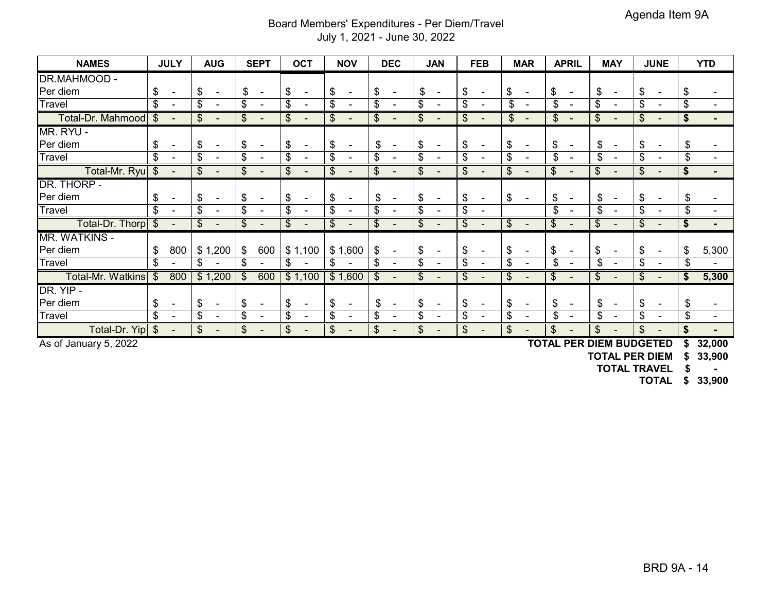## Board Members' Expenditures - Per Diem/Travel July 1, 2021 - June 30, 2022

| <b>NAMES</b>             |       | <b>JULY</b>              |    | <b>AUG</b>               |                            | <b>SEPT</b>                  |    | <b>OCT</b>               | <b>NOV</b>                     |                             | <b>DEC</b>               |                       | <b>JAN</b>               |                           | <b>FEB</b>               | <b>MAR</b>                     |    | <b>APRIL</b>             |    | <b>MAY</b>               | <b>JUNE</b>                    |    | <b>YTD</b> |
|--------------------------|-------|--------------------------|----|--------------------------|----------------------------|------------------------------|----|--------------------------|--------------------------------|-----------------------------|--------------------------|-----------------------|--------------------------|---------------------------|--------------------------|--------------------------------|----|--------------------------|----|--------------------------|--------------------------------|----|------------|
| <b>DR.MAHMOOD -</b>      |       |                          |    |                          |                            |                              |    |                          |                                |                             |                          |                       |                          |                           |                          |                                |    |                          |    |                          |                                |    |            |
| Per diem                 | \$    | $\blacksquare$           | \$ | $\overline{\phantom{a}}$ | \$                         | $\blacksquare$               | \$ | $\blacksquare$           | \$                             | \$                          | $\blacksquare$           | \$                    | $\overline{\phantom{a}}$ | \$                        | $\blacksquare$           | \$<br>$\overline{\phantom{a}}$ | \$ |                          | \$ |                          | \$                             | S  |            |
| <b>Travel</b>            | \$    | $\blacksquare$           | \$ |                          | \$                         | $\overline{\phantom{a}}$     | \$ | $\blacksquare$           | \$<br>$\overline{\phantom{a}}$ | \$                          | $\qquad \qquad$          | \$                    |                          | \$                        | $\overline{\phantom{0}}$ | \$<br>$\overline{\phantom{a}}$ | \$ | $\overline{\phantom{a}}$ | \$ |                          | \$                             | \$ |            |
| Total-Dr. Mahmood        | \$    |                          | \$ |                          | \$                         |                              | \$ | $\overline{\phantom{a}}$ | \$                             | \$                          | $\overline{\phantom{a}}$ | $\boldsymbol{\theta}$ | $\overline{\phantom{0}}$ | \$                        |                          | \$<br>$\overline{\phantom{a}}$ | \$ |                          | S  |                          | \$                             |    |            |
| MR. RYU -                |       |                          |    |                          |                            |                              |    |                          |                                |                             |                          |                       |                          |                           |                          |                                |    |                          |    |                          |                                |    |            |
| Per diem                 | \$    |                          | S. |                          | \$                         |                              | S  | $\blacksquare$           | \$                             | \$                          |                          | \$                    | $\blacksquare$           | \$                        |                          | \$                             | S  |                          | \$ |                          | \$                             | \$ |            |
| Travel                   | \$    |                          | \$ |                          | \$                         | $\overline{\phantom{a}}$     | \$ | $\blacksquare$           | \$                             | \$                          | $\overline{\phantom{a}}$ | \$                    | $\blacksquare$           | \$                        | $\overline{\phantom{0}}$ | \$                             | \$ | $\overline{\phantom{a}}$ | \$ |                          | \$                             | \$ |            |
| Total-Mr. Ryu            | \$    | $\overline{\phantom{a}}$ | \$ |                          | \$                         | $\qquad \qquad \blacksquare$ | \$ | $\overline{\phantom{a}}$ | \$                             | \$                          | $\qquad \qquad$          | $\boldsymbol{\theta}$ | $\overline{\phantom{0}}$ | \$                        |                          | \$                             | \$ |                          | \$ |                          | \$                             | S  |            |
| DR. THORP -              |       |                          |    |                          |                            |                              |    |                          |                                |                             |                          |                       |                          |                           |                          |                                |    |                          |    |                          |                                |    |            |
| Per diem                 | \$    |                          | S. |                          | \$                         |                              | \$ | $\blacksquare$           | \$                             | \$                          |                          | \$                    |                          | \$                        |                          | \$                             | S  |                          | \$ |                          | \$                             | \$ |            |
| Travel                   | \$    | $\blacksquare$           | \$ |                          | \$                         | $\overline{\phantom{a}}$     | \$ | $\blacksquare$           | \$                             | \$                          | $\overline{\phantom{0}}$ | \$                    |                          | \$                        | $\blacksquare$           |                                | \$ | $\blacksquare$           | \$ | $\overline{\phantom{a}}$ | \$                             | \$ |            |
| Total-Dr. Thorp          | \$    |                          | \$ |                          | \$                         |                              | \$ | $\overline{\phantom{a}}$ | \$                             | \$                          | $\overline{\phantom{0}}$ | \$                    |                          | \$                        |                          | \$                             | \$ |                          | \$ |                          | \$                             |    |            |
| MR. WATKINS -            |       |                          |    |                          |                            |                              |    |                          |                                |                             |                          |                       |                          |                           |                          |                                |    |                          |    |                          |                                |    |            |
| Per diem                 | \$    | 800                      |    | \$1,200                  | $\boldsymbol{\mathsf{\$}}$ | 600                          |    | \$1,100                  | \$1,600                        | \$                          | $\blacksquare$           | \$                    |                          | \$                        |                          | \$                             | \$ |                          | \$ |                          | \$                             |    | 5,300      |
| Travel                   | \$    |                          | \$ |                          | \$                         | $\blacksquare$               | \$ | $\overline{\phantom{a}}$ | \$                             | \$                          | $\overline{\phantom{a}}$ | \$                    |                          | \$                        |                          | \$                             | \$ |                          | \$ |                          | \$                             | \$ |            |
| <b>Total-Mr. Watkins</b> | $\$\$ | 800                      |    | \$1,200                  | $\boldsymbol{\mathcal{F}}$ | 600                          |    | \$1,100                  | \$1,600                        | $\boldsymbol{\hat{\theta}}$ | $\overline{\phantom{0}}$ | \$                    |                          | $\mathfrak{S}$            |                          | \$                             | \$ |                          | \$ |                          | \$                             |    | 5,300      |
| DR. YIP -                |       |                          |    |                          |                            |                              |    |                          |                                |                             |                          |                       |                          |                           |                          |                                |    |                          |    |                          |                                |    |            |
| Per diem                 | \$    |                          | \$ |                          | \$                         |                              | \$ |                          | \$                             | \$                          |                          | \$                    |                          | \$                        |                          | \$                             | S. |                          | \$ |                          | \$                             | \$ |            |
| Travel                   | \$    |                          | \$ |                          | \$                         |                              | \$ | $\blacksquare$           | \$                             | \$                          |                          | \$                    |                          | \$                        |                          | \$                             | \$ |                          | \$ |                          | \$                             | \$ |            |
| Total-Dr. Yip            | \$    | $\blacksquare$           | \$ | $\overline{\phantom{a}}$ | $\boldsymbol{\mathsf{S}}$  | $\overline{\phantom{a}}$     | \$ | $\overline{\phantom{a}}$ | \$<br>$\overline{\phantom{a}}$ | $\boldsymbol{\mathsf{S}}$   | $\overline{\phantom{a}}$ | \$                    | $\overline{\phantom{a}}$ | $\boldsymbol{\mathsf{S}}$ | $\blacksquare$           | \$<br>$\overline{\phantom{0}}$ | \$ | $\blacksquare$           | \$ | $\overline{\phantom{a}}$ | \$<br>$\overline{\phantom{0}}$ | S  |            |

As of January 5, 2022 **TOTAL PER DIEM BUDGETED \$ 32,000**

**TOTAL PER DIEM \$ 33,900**

**TOTAL TRAVEL \$ -**

**TOTAL \$ 33,900**